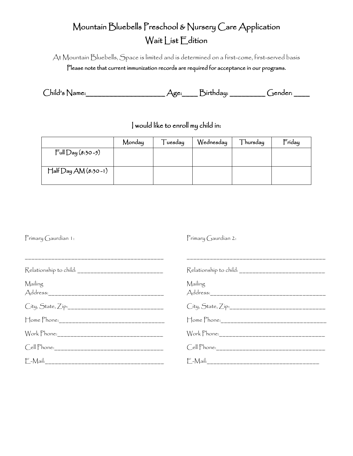# Mountain Bluebells Preschool & Nursery Care Application Wait List Edition

At Mountain Bluebells, Space is limited and is determined on a first-come, first-served basis Please note that current immunization records are required for acceptance in our programs.

| $\int$ hild's Name: | ້<br>.irthdau: | hender: |  |
|---------------------|----------------|---------|--|
|                     |                |         |  |

I would like to enroll my child in:

|                          | Monday | -uesday | Wednesday | Thursday | $F_{\text{riday}}$ |
|--------------------------|--------|---------|-----------|----------|--------------------|
| $Full$ Day (8:30-5)      |        |         |           |          |                    |
|                          |        |         |           |          |                    |
| $H$ alf $Day AM(8:30-1)$ |        |         |           |          |                    |
|                          |        |         |           |          |                    |

Primary Gaurdian 1:

Primary Gaurdian 2:

| Mailing           | Mailing           |
|-------------------|-------------------|
| City, State, Zip: | City, State, Zip: |
|                   |                   |
|                   |                   |
|                   |                   |
|                   |                   |